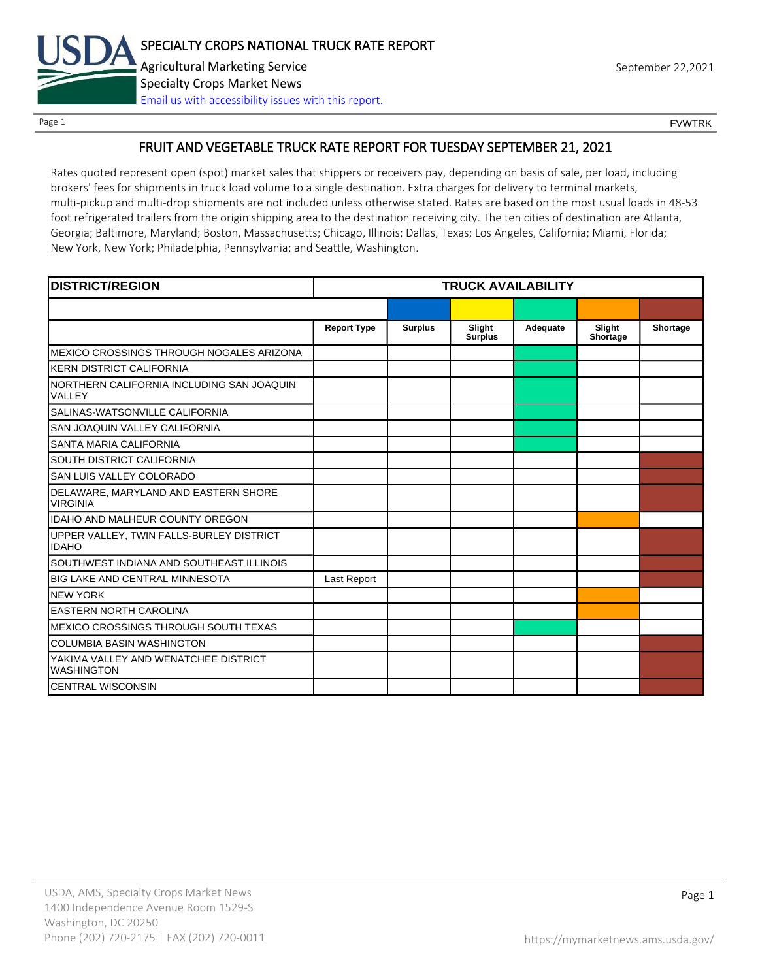

Page 1 FOUNTRK CONTROL CONTROL CONTROL CONTROL CONTROL CONTROL CONTROL CONTROL CONTROL CONTROL CONTROL CONTROL CONTROL CONTROL CONTROL CONTROL CONTROL CONTROL CONTROL CONTROL CONTROL CONTROL CONTROL CONTROL CONTROL CONTROL

## FRUIT AND VEGETABLE TRUCK RATE REPORT FOR TUESDAY SEPTEMBER 21, 2021

Rates quoted represent open (spot) market sales that shippers or receivers pay, depending on basis of sale, per load, including brokers' fees for shipments in truck load volume to a single destination. Extra charges for delivery to terminal markets, multi-pickup and multi-drop shipments are not included unless otherwise stated. Rates are based on the most usual loads in 48-53 foot refrigerated trailers from the origin shipping area to the destination receiving city. The ten cities of destination are Atlanta, Georgia; Baltimore, Maryland; Boston, Massachusetts; Chicago, Illinois; Dallas, Texas; Los Angeles, California; Miami, Florida; New York, New York; Philadelphia, Pennsylvania; and Seattle, Washington.

| <b>DISTRICT/REGION</b>                                    |                    |                | <b>TRUCK AVAILABILITY</b> |          |                    |          |
|-----------------------------------------------------------|--------------------|----------------|---------------------------|----------|--------------------|----------|
|                                                           |                    |                |                           |          |                    |          |
|                                                           | <b>Report Type</b> | <b>Surplus</b> | Slight<br><b>Surplus</b>  | Adequate | Slight<br>Shortage | Shortage |
| MEXICO CROSSINGS THROUGH NOGALES ARIZONA                  |                    |                |                           |          |                    |          |
| <b>KERN DISTRICT CALIFORNIA</b>                           |                    |                |                           |          |                    |          |
| NORTHERN CALIFORNIA INCLUDING SAN JOAQUIN<br>VALLEY       |                    |                |                           |          |                    |          |
| SALINAS-WATSONVILLE CALIFORNIA                            |                    |                |                           |          |                    |          |
| SAN JOAQUIN VALLEY CALIFORNIA                             |                    |                |                           |          |                    |          |
| SANTA MARIA CALIFORNIA                                    |                    |                |                           |          |                    |          |
| <b>SOUTH DISTRICT CALIFORNIA</b>                          |                    |                |                           |          |                    |          |
| SAN LUIS VALLEY COLORADO                                  |                    |                |                           |          |                    |          |
| DELAWARE, MARYLAND AND EASTERN SHORE<br><b>VIRGINIA</b>   |                    |                |                           |          |                    |          |
| <b>IDAHO AND MALHEUR COUNTY OREGON</b>                    |                    |                |                           |          |                    |          |
| UPPER VALLEY, TWIN FALLS-BURLEY DISTRICT<br><b>IDAHO</b>  |                    |                |                           |          |                    |          |
| SOUTHWEST INDIANA AND SOUTHEAST ILLINOIS                  |                    |                |                           |          |                    |          |
| <b>BIG LAKE AND CENTRAL MINNESOTA</b>                     | Last Report        |                |                           |          |                    |          |
| <b>NEW YORK</b>                                           |                    |                |                           |          |                    |          |
| <b>EASTERN NORTH CAROLINA</b>                             |                    |                |                           |          |                    |          |
| MEXICO CROSSINGS THROUGH SOUTH TEXAS                      |                    |                |                           |          |                    |          |
| <b>COLUMBIA BASIN WASHINGTON</b>                          |                    |                |                           |          |                    |          |
| YAKIMA VALLEY AND WENATCHEE DISTRICT<br><b>WASHINGTON</b> |                    |                |                           |          |                    |          |
| <b>CENTRAL WISCONSIN</b>                                  |                    |                |                           |          |                    |          |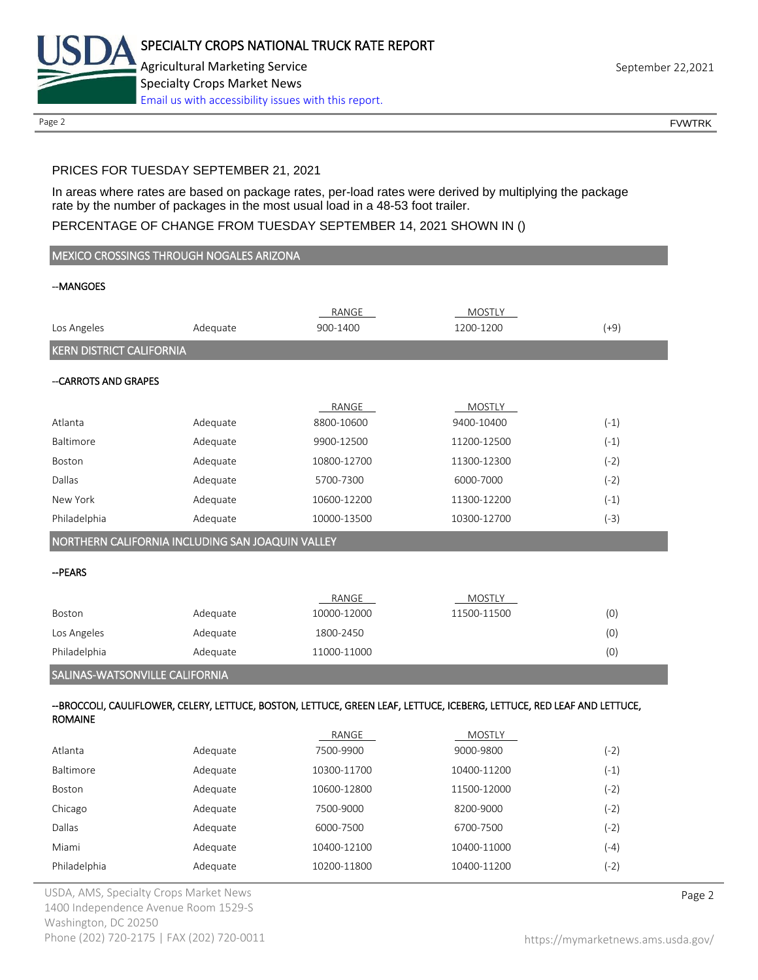

Page 2 FOUNTRK CONTROL CONTROL CONTROL CONTROL CONTROL CONTROL CONTROL CONTROL CONTROL CONTROL CONTROL CONTROL CONTROL CONTROL CONTROL CONTROL CONTROL CONTROL CONTROL CONTROL CONTROL CONTROL CONTROL CONTROL CONTROL CONTROL

## PRICES FOR TUESDAY SEPTEMBER 21, 2021

In areas where rates are based on package rates, per-load rates were derived by multiplying the package rate by the number of packages in the most usual load in a 48-53 foot trailer.

#### PERCENTAGE OF CHANGE FROM TUESDAY SEPTEMBER 14, 2021 SHOWN IN ()

| MEXICO CROSSINGS THROUGH NOGALES ARIZONA         |          |                      |                                                                                                                         |        |
|--------------------------------------------------|----------|----------------------|-------------------------------------------------------------------------------------------------------------------------|--------|
| --MANGOES                                        |          |                      |                                                                                                                         |        |
|                                                  |          |                      |                                                                                                                         |        |
| Los Angeles                                      | Adequate | RANGE<br>900-1400    | <b>MOSTLY</b><br>1200-1200                                                                                              | $(+9)$ |
| <b>KERN DISTRICT CALIFORNIA</b>                  |          |                      |                                                                                                                         |        |
|                                                  |          |                      |                                                                                                                         |        |
| --CARROTS AND GRAPES                             |          |                      |                                                                                                                         |        |
|                                                  |          | RANGE                | MOSTLY                                                                                                                  |        |
| Atlanta                                          | Adequate | 8800-10600           | 9400-10400                                                                                                              | $(-1)$ |
| Baltimore                                        | Adequate | 9900-12500           | 11200-12500                                                                                                             | $(-1)$ |
| Boston                                           | Adequate | 10800-12700          | 11300-12300                                                                                                             | $(-2)$ |
| Dallas                                           | Adequate | 5700-7300            | 6000-7000                                                                                                               | $(-2)$ |
| New York                                         | Adequate | 10600-12200          | 11300-12200                                                                                                             | $(-1)$ |
| Philadelphia                                     | Adequate | 10000-13500          | 10300-12700                                                                                                             | $(-3)$ |
| NORTHERN CALIFORNIA INCLUDING SAN JOAQUIN VALLEY |          |                      |                                                                                                                         |        |
| --PEARS                                          |          |                      |                                                                                                                         |        |
|                                                  |          |                      |                                                                                                                         |        |
| Boston                                           | Adequate | RANGE<br>10000-12000 | MOSTLY<br>11500-11500                                                                                                   | (0)    |
| Los Angeles                                      | Adequate | 1800-2450            |                                                                                                                         | (0)    |
|                                                  |          |                      |                                                                                                                         |        |
| Philadelphia                                     | Adequate | 11000-11000          |                                                                                                                         | (0)    |
| SALINAS-WATSONVILLE CALIFORNIA                   |          |                      |                                                                                                                         |        |
|                                                  |          |                      | --BROCCOLI, CAULIFLOWER, CELERY, LETTUCE, BOSTON, LETTUCE, GREEN LEAF, LETTUCE, ICEBERG, LETTUCE, RED LEAF AND LETTUCE, |        |
| <b>ROMAINE</b>                                   |          |                      |                                                                                                                         |        |
| Atlanta                                          | Adequate | RANGE<br>7500-9900   | MOSTLY<br>9000-9800                                                                                                     | $(-2)$ |
| Baltimore                                        | Adequate | 10300-11700          | 10400-11200                                                                                                             | $(-1)$ |
| Boston                                           | Adequate | 10600-12800          | 11500-12000                                                                                                             | $(-2)$ |
| Chicago                                          | Adequate | 7500-9000            | 8200-9000                                                                                                               | $(-2)$ |
| Dallas                                           | Adequate | 6000-7500            | 6700-7500                                                                                                               | $(-2)$ |
| Miami                                            | Adequate | 10400-12100          | 10400-11000                                                                                                             | $(-4)$ |

Philadelphia Adequate 10200-11800 10400-11200 (-2)

USDA, AMS, Specialty Crops Market News **Page 2** 1400 Independence Avenue Room 1529-S Washington, DC 20250 Phone (202) 720-2175 | FAX (202) 720-0011 <https://mymarketnews.ams.usda.gov/>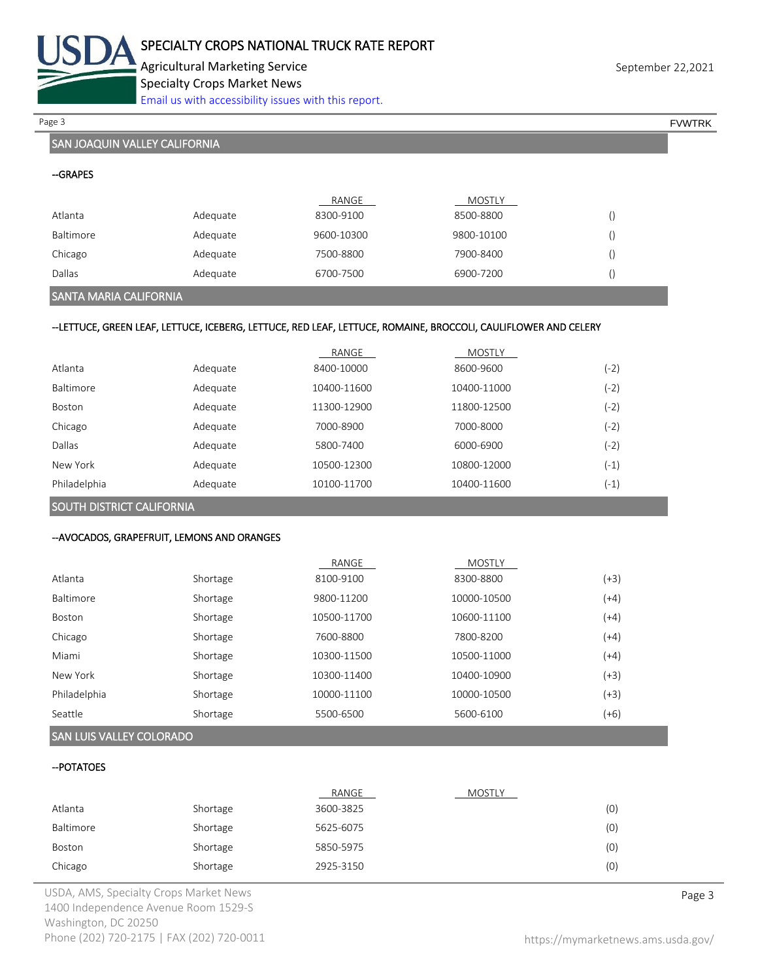

Agricultural Marketing Service **September 22,2021** September 22,2021 Specialty Crops Market News [Email us with accessibility issues with this report.](mailto:mars@ams.usda.gov?subject=508%20Inquiry/Report)

Page 3 FOUNTRK And the set of the set of the set of the set of the set of the set of the set of the set of the set of the set of the set of the set of the set of the set of the set of the set of the set of the set of the s

## SAN JOAQUIN VALLEY CALIFORNIA

| --GRAPES                |          |            |            |  |
|-------------------------|----------|------------|------------|--|
|                         |          | RANGE      | MOSTLY     |  |
| Atlanta                 | Adequate | 8300-9100  | 8500-8800  |  |
| Baltimore               | Adequate | 9600-10300 | 9800-10100 |  |
| Chicago                 | Adequate | 7500-8800  | 7900-8400  |  |
| Dallas                  | Adequate | 6700-7500  | 6900-7200  |  |
| CANTA MANDIA CALIFODMIA |          |            |            |  |

#### SANTA MARIA CALIFORNIA

#### --LETTUCE, GREEN LEAF, LETTUCE, ICEBERG, LETTUCE, RED LEAF, LETTUCE, ROMAINE, BROCCOLI, CAULIFLOWER AND CELERY

|              |          | RANGE       | <b>MOSTLY</b> |        |
|--------------|----------|-------------|---------------|--------|
| Atlanta      | Adequate | 8400-10000  | 8600-9600     | $(-2)$ |
| Baltimore    | Adequate | 10400-11600 | 10400-11000   | (-2)   |
| Boston       | Adequate | 11300-12900 | 11800-12500   | (-2)   |
| Chicago      | Adequate | 7000-8900   | 7000-8000     | (-2)   |
| Dallas       | Adequate | 5800-7400   | 6000-6900     | (-2)   |
| New York     | Adequate | 10500-12300 | 10800-12000   | $(-1)$ |
| Philadelphia | Adequate | 10100-11700 | 10400-11600   | $(-1)$ |

SOUTH DISTRICT CALIFORNIA

#### --AVOCADOS, GRAPEFRUIT, LEMONS AND ORANGES

|          | RANGE       | <b>MOSTLY</b> |      |
|----------|-------------|---------------|------|
| Shortage | 8100-9100   | 8300-8800     | (+3) |
| Shortage | 9800-11200  | 10000-10500   | (+4) |
| Shortage | 10500-11700 | 10600-11100   | (+4) |
| Shortage | 7600-8800   | 7800-8200     | (+4) |
| Shortage | 10300-11500 | 10500-11000   | (+4) |
| Shortage | 10300-11400 | 10400-10900   | (+3) |
| Shortage | 10000-11100 | 10000-10500   | (+3) |
| Shortage | 5500-6500   | 5600-6100     | (+6) |
|          |             |               |      |

## SAN LUIS VALLEY COLORADO

#### --POTATOES

|           |          | RANGE     | <b>MOSTLY</b> |     |
|-----------|----------|-----------|---------------|-----|
| Atlanta   | Shortage | 3600-3825 |               | (0) |
| Baltimore | Shortage | 5625-6075 |               | (0) |
| Boston    | Shortage | 5850-5975 |               | (0) |
| Chicago   | Shortage | 2925-3150 |               | (0) |

USDA, AMS, Specialty Crops Market News **Page 3** 1400 Independence Avenue Room 1529-S Washington, DC 20250 Phone (202) 720-2175 | FAX (202) 720-0011 <https://mymarketnews.ams.usda.gov/>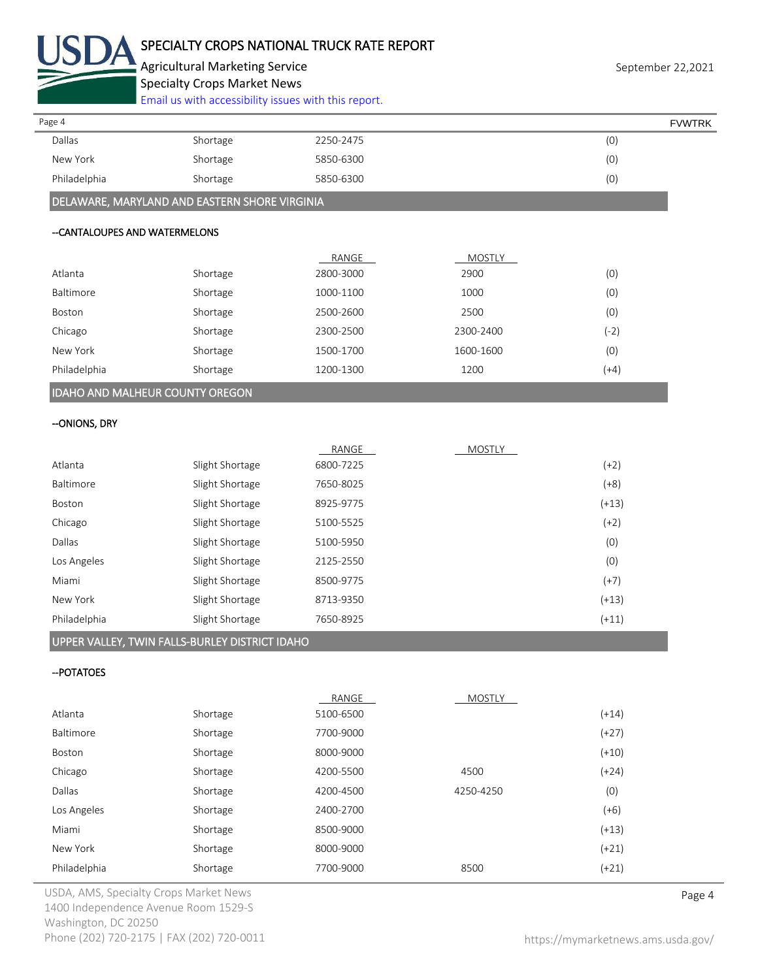

## SPECIALTY CROPS NATIONAL TRUCK RATE REPORT

Agricultural Marketing Service **September 22,2021** September 22,2021

Specialty Crops Market News

[Email us with accessibility issues with this report.](mailto:mars@ams.usda.gov?subject=508%20Inquiry/Report)

| Page 4       |          |           | <b>FVWTRK</b> |
|--------------|----------|-----------|---------------|
| Dallas       | Shortage | 2250-2475 | (0)           |
| New York     | Shortage | 5850-6300 | (0)           |
| Philadelphia | Shortage | 5850-6300 | (0)           |

## DELAWARE, MARYLAND AND EASTERN SHORE VIRGINIA

#### --CANTALOUPES AND WATERMELONS

|              |          | RANGE     | MOSTLY    |      |
|--------------|----------|-----------|-----------|------|
| Atlanta      | Shortage | 2800-3000 | 2900      | (0)  |
| Baltimore    | Shortage | 1000-1100 | 1000      | (0)  |
| Boston       | Shortage | 2500-2600 | 2500      | (0)  |
| Chicago      | Shortage | 2300-2500 | 2300-2400 | (-2) |
| New York     | Shortage | 1500-1700 | 1600-1600 | (0)  |
| Philadelphia | Shortage | 1200-1300 | 1200      | (+4) |
|              |          |           |           |      |

# IDAHO AND MALHEUR COUNTY OREGON

### --ONIONS, DRY

|              |                 | RANGE     | <b>MOSTLY</b> |         |
|--------------|-----------------|-----------|---------------|---------|
| Atlanta      | Slight Shortage | 6800-7225 |               | $(+2)$  |
| Baltimore    | Slight Shortage | 7650-8025 |               | $(+8)$  |
| Boston       | Slight Shortage | 8925-9775 |               | $(+13)$ |
| Chicago      | Slight Shortage | 5100-5525 |               | $(+2)$  |
| Dallas       | Slight Shortage | 5100-5950 |               | (0)     |
| Los Angeles  | Slight Shortage | 2125-2550 |               | (0)     |
| Miami        | Slight Shortage | 8500-9775 |               | $(+7)$  |
| New York     | Slight Shortage | 8713-9350 |               | $(+13)$ |
| Philadelphia | Slight Shortage | 7650-8925 |               | $(+11)$ |

## UPPER VALLEY, TWIN FALLS-BURLEY DISTRICT IDAHO

#### --POTATOES

|              |          | RANGE     | <b>MOSTLY</b> |         |
|--------------|----------|-----------|---------------|---------|
| Atlanta      | Shortage | 5100-6500 |               | $(+14)$ |
| Baltimore    | Shortage | 7700-9000 |               | $(+27)$ |
| Boston       | Shortage | 8000-9000 |               | $(+10)$ |
| Chicago      | Shortage | 4200-5500 | 4500          | $(+24)$ |
| Dallas       | Shortage | 4200-4500 | 4250-4250     | (0)     |
| Los Angeles  | Shortage | 2400-2700 |               | $(+6)$  |
| Miami        | Shortage | 8500-9000 |               | $(+13)$ |
| New York     | Shortage | 8000-9000 |               | $(+21)$ |
| Philadelphia | Shortage | 7700-9000 | 8500          | $(+21)$ |

USDA, AMS, Specialty Crops Market News **Page 4** 1400 Independence Avenue Room 1529-S Washington, DC 20250 Phone (202) 720-2175 | FAX (202) 720-0011 <https://mymarketnews.ams.usda.gov/>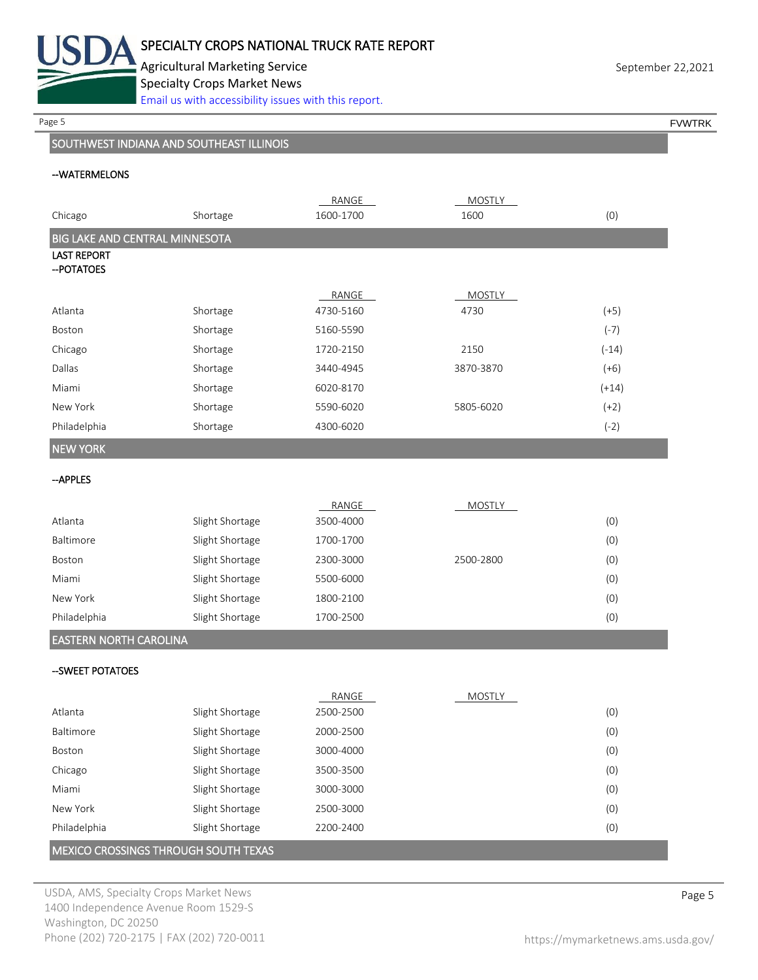

Agricultural Marketing Service **September 22,2021** September 22,2021 Specialty Crops Market News

[Email us with accessibility issues with this report.](mailto:mars@ams.usda.gov?subject=508%20Inquiry/Report)

Page 5 FOUNTRK And the set of the set of the set of the set of the set of the set of the set of the set of the set of the set of the set of the set of the set of the set of the set of the set of the set of the set of the s

## SOUTHWEST INDIANA AND SOUTHEAST ILLINOIS

#### --WATERMELONS

|                                       |                 | RANGE              | <b>MOSTLY</b> |         |
|---------------------------------------|-----------------|--------------------|---------------|---------|
| Chicago                               | Shortage        | 1600-1700          | 1600          | (0)     |
| <b>BIG LAKE AND CENTRAL MINNESOTA</b> |                 |                    |               |         |
| <b>LAST REPORT</b>                    |                 |                    |               |         |
| -- POTATOES                           |                 |                    |               |         |
|                                       |                 | RANGE              | <b>MOSTLY</b> |         |
| Atlanta                               | Shortage        | 4730-5160          | 4730          | $(+5)$  |
| Boston                                | Shortage        | 5160-5590          |               | $(-7)$  |
| Chicago                               | Shortage        | 1720-2150          | 2150          | $(-14)$ |
| Dallas                                | Shortage        | 3440-4945          | 3870-3870     | $(+6)$  |
| Miami                                 | Shortage        | 6020-8170          |               | $(+14)$ |
| New York                              | Shortage        | 5590-6020          | 5805-6020     | $(+2)$  |
| Philadelphia                          | Shortage        | 4300-6020          |               | $(-2)$  |
| <b>NEW YORK</b>                       |                 |                    |               |         |
| --APPLES                              |                 |                    |               |         |
|                                       |                 |                    |               |         |
| Atlanta                               | Slight Shortage | RANGE<br>3500-4000 | <b>MOSTLY</b> | (0)     |
| Baltimore                             |                 |                    |               |         |
|                                       | Slight Shortage | 1700-1700          |               | (0)     |
| Boston                                | Slight Shortage | 2300-3000          | 2500-2800     | (0)     |
| Miami                                 | Slight Shortage | 5500-6000          |               | (0)     |
| New York                              | Slight Shortage | 1800-2100          |               | (0)     |
| Philadelphia                          | Slight Shortage | 1700-2500          |               | (0)     |
| <b>EASTERN NORTH CAROLINA</b>         |                 |                    |               |         |
| -- SWEET POTATOES                     |                 |                    |               |         |
|                                       |                 | RANGE              | <b>MOSTLY</b> |         |
| Atlanta                               | Slight Shortage | 2500-2500          |               | (0)     |
| Baltimore                             | Slight Shortage | 2000-2500          |               | (0)     |
| Boston                                | Slight Shortage | 3000-4000          |               | (0)     |
| Chicago                               | Slight Shortage | 3500-3500          |               | (0)     |

New York Slight Shortage 2500-3000 (0) 2500-3100 (0) Philadelphia Slight Shortage 2200-2400 2000-2400 (0) MEXICO CROSSINGS THROUGH SOUTH TEXAS

Miami Slight Shortage 3000-3000 3000-3000 (0)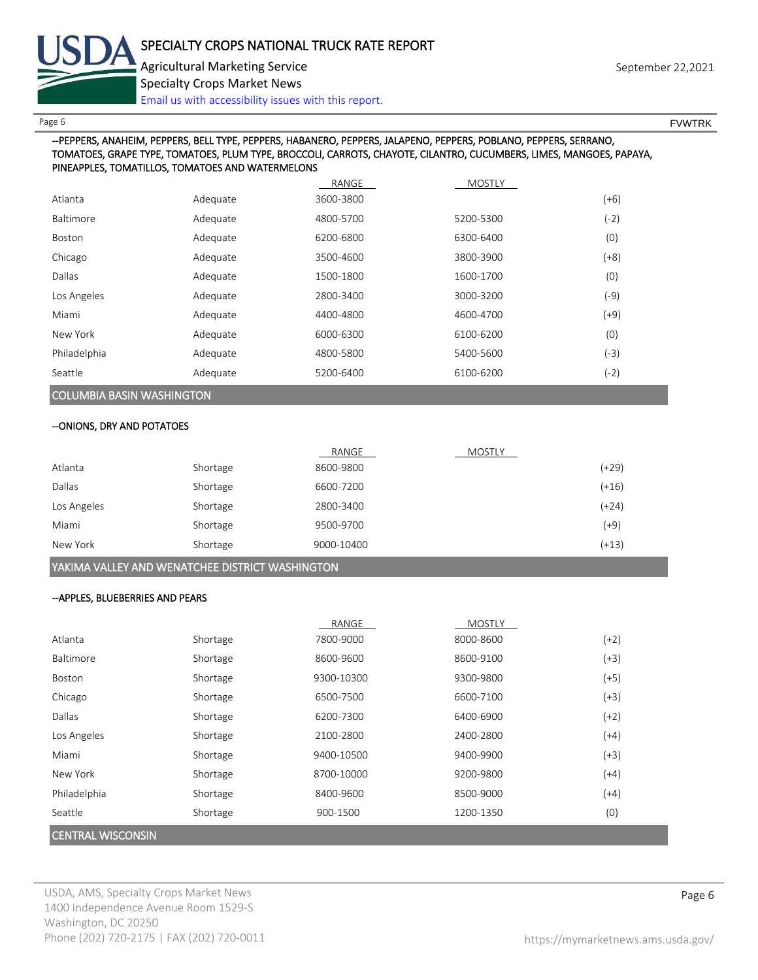

Page 6 FVWTRK

#### --PEPPERS, ANAHEIM, PEPPERS, BELL TYPE, PEPPERS, HABANERO, PEPPERS, JALAPENO, PEPPERS, POBLANO, PEPPERS, SERRANO, TOMATOES, GRAPE TYPE, TOMATOES, PLUM TYPE, BROCCOLI, CARROTS, CHAYOTE, CILANTRO, CUCUMBERS, LIMES, MANGOES, PAPAYA, PINEAPPLES, TOMATILLOS, TOMATOES AND WATERMELONS

|              |          | RANGE     | <b>MOSTLY</b> |        |
|--------------|----------|-----------|---------------|--------|
| Atlanta      | Adequate | 3600-3800 |               | $(+6)$ |
| Baltimore    | Adequate | 4800-5700 | 5200-5300     | $(-2)$ |
| Boston       | Adequate | 6200-6800 | 6300-6400     | (0)    |
| Chicago      | Adequate | 3500-4600 | 3800-3900     | $(+8)$ |
| Dallas       | Adequate | 1500-1800 | 1600-1700     | (0)    |
| Los Angeles  | Adequate | 2800-3400 | 3000-3200     | (-9)   |
| Miami        | Adequate | 4400-4800 | 4600-4700     | $(+9)$ |
| New York     | Adequate | 6000-6300 | 6100-6200     | (0)    |
| Philadelphia | Adequate | 4800-5800 | 5400-5600     | (-3)   |
| Seattle      | Adequate | 5200-6400 | 6100-6200     | (-2)   |

COLUMBIA BASIN WASHINGTON

#### --ONIONS, DRY AND POTATOES

|             |          | RANGE      | <b>MOSTLY</b> |         |
|-------------|----------|------------|---------------|---------|
| Atlanta     | Shortage | 8600-9800  |               | $(+29)$ |
| Dallas      | Shortage | 6600-7200  |               | $(+16)$ |
| Los Angeles | Shortage | 2800-3400  |               | $(+24)$ |
| Miami       | Shortage | 9500-9700  |               | $(+9)$  |
| New York    | Shortage | 9000-10400 |               | $(+13)$ |

YAKIMA VALLEY AND WENATCHEE DISTRICT WASHINGTON

#### --APPLES, BLUEBERRIES AND PEARS

|                          |          | RANGE      | <b>MOSTLY</b> |        |  |  |
|--------------------------|----------|------------|---------------|--------|--|--|
| Atlanta                  | Shortage | 7800-9000  | 8000-8600     | $(+2)$ |  |  |
| Baltimore                | Shortage | 8600-9600  | 8600-9100     | $(+3)$ |  |  |
| Boston                   | Shortage | 9300-10300 | 9300-9800     | $(+5)$ |  |  |
| Chicago                  | Shortage | 6500-7500  | 6600-7100     | $(+3)$ |  |  |
| Dallas                   | Shortage | 6200-7300  | 6400-6900     | $(+2)$ |  |  |
| Los Angeles              | Shortage | 2100-2800  | 2400-2800     | $(+4)$ |  |  |
| Miami                    | Shortage | 9400-10500 | 9400-9900     | $(+3)$ |  |  |
| New York                 | Shortage | 8700-10000 | 9200-9800     | $(+4)$ |  |  |
| Philadelphia             | Shortage | 8400-9600  | 8500-9000     | $(+4)$ |  |  |
| Seattle                  | Shortage | 900-1500   | 1200-1350     | (0)    |  |  |
| <b>CENTRAL WISCONSIN</b> |          |            |               |        |  |  |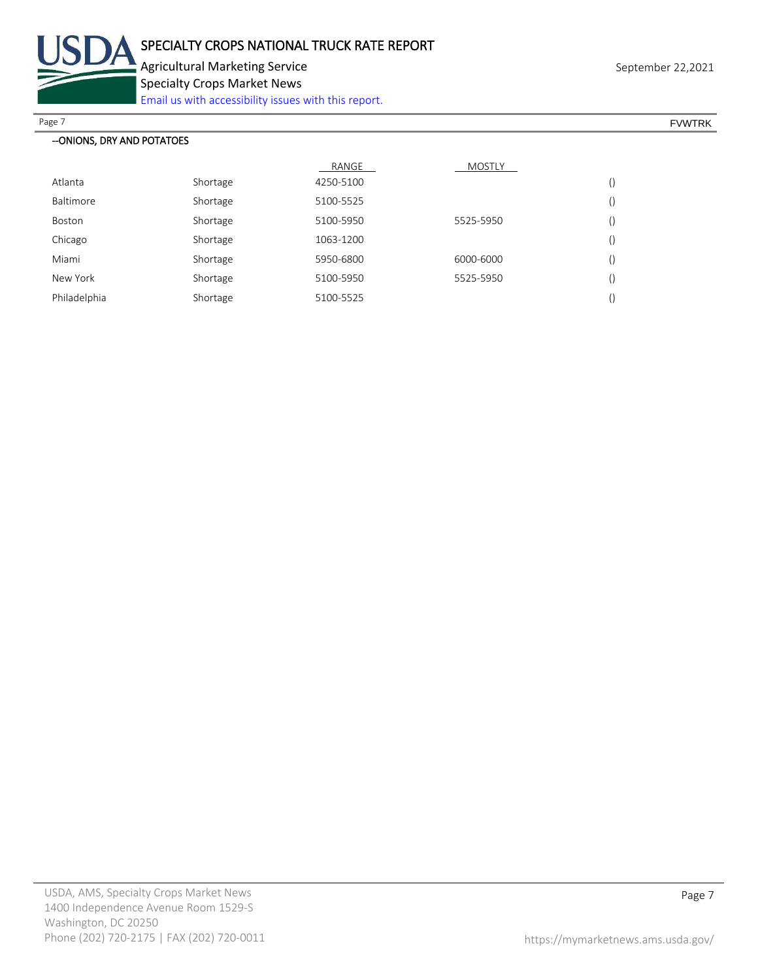

Agricultural Marketing Service **September 22,2021** September 22,2021

Specialty Crops Market News

[Email us with accessibility issues with this report.](mailto:mars@ams.usda.gov?subject=508%20Inquiry/Report)

Page 7 FOUNTRK And the set of the set of the set of the set of the set of the set of the set of the set of the set of the set of the set of the set of the set of the set of the set of the set of the set of the set of the s

| --ONIONS, DRY AND POTATOES |          |           |               |                  |  |  |  |
|----------------------------|----------|-----------|---------------|------------------|--|--|--|
|                            |          | RANGE     | <b>MOSTLY</b> |                  |  |  |  |
| Atlanta                    | Shortage | 4250-5100 |               | $\left( \right)$ |  |  |  |
| Baltimore                  | Shortage | 5100-5525 |               | $\left(\right)$  |  |  |  |
| Boston                     | Shortage | 5100-5950 | 5525-5950     | $\left(\right)$  |  |  |  |
| Chicago                    | Shortage | 1063-1200 |               | $\left(\right)$  |  |  |  |
| Miami                      | Shortage | 5950-6800 | 6000-6000     | $\left( \right)$ |  |  |  |
| New York                   | Shortage | 5100-5950 | 5525-5950     | $\left( \right)$ |  |  |  |
| Philadelphia               | Shortage | 5100-5525 |               |                  |  |  |  |